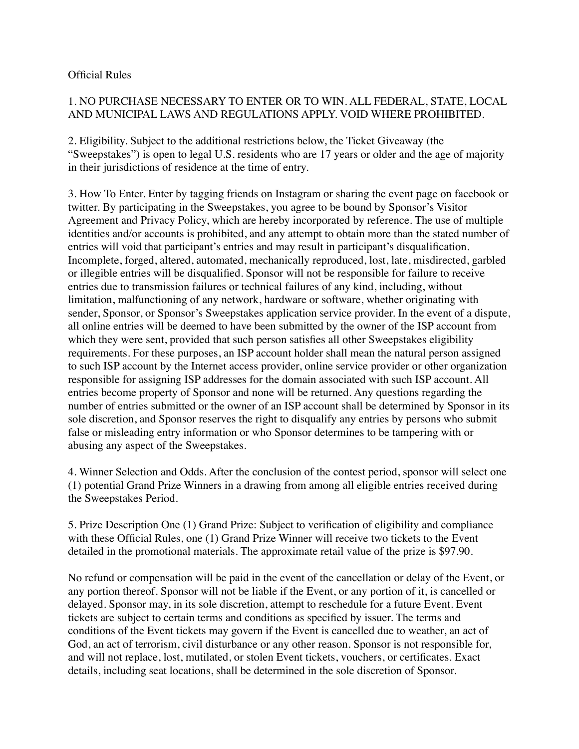## Official Rules

## 1. NO PURCHASE NECESSARY TO ENTER OR TO WIN. ALL FEDERAL, STATE, LOCAL AND MUNICIPAL LAWS AND REGULATIONS APPLY. VOID WHERE PROHIBITED.

2. Eligibility. Subject to the additional restrictions below, the Ticket Giveaway (the "Sweepstakes") is open to legal U.S. residents who are 17 years or older and the age of majority in their jurisdictions of residence at the time of entry.

3. How To Enter. Enter by tagging friends on Instagram or sharing the event page on facebook or twitter. By participating in the Sweepstakes, you agree to be bound by Sponsor's Visitor Agreement and Privacy Policy, which are hereby incorporated by reference. The use of multiple identities and/or accounts is prohibited, and any attempt to obtain more than the stated number of entries will void that participant's entries and may result in participant's disqualification. Incomplete, forged, altered, automated, mechanically reproduced, lost, late, misdirected, garbled or illegible entries will be disqualified. Sponsor will not be responsible for failure to receive entries due to transmission failures or technical failures of any kind, including, without limitation, malfunctioning of any network, hardware or software, whether originating with sender, Sponsor, or Sponsor's Sweepstakes application service provider. In the event of a dispute, all online entries will be deemed to have been submitted by the owner of the ISP account from which they were sent, provided that such person satisfies all other Sweepstakes eligibility requirements. For these purposes, an ISP account holder shall mean the natural person assigned to such ISP account by the Internet access provider, online service provider or other organization responsible for assigning ISP addresses for the domain associated with such ISP account. All entries become property of Sponsor and none will be returned. Any questions regarding the number of entries submitted or the owner of an ISP account shall be determined by Sponsor in its sole discretion, and Sponsor reserves the right to disqualify any entries by persons who submit false or misleading entry information or who Sponsor determines to be tampering with or abusing any aspect of the Sweepstakes.

4. Winner Selection and Odds. After the conclusion of the contest period, sponsor will select one (1) potential Grand Prize Winners in a drawing from among all eligible entries received during the Sweepstakes Period.

5. Prize Description One (1) Grand Prize: Subject to verification of eligibility and compliance with these Official Rules, one (1) Grand Prize Winner will receive two tickets to the Event detailed in the promotional materials. The approximate retail value of the prize is \$97.90.

No refund or compensation will be paid in the event of the cancellation or delay of the Event, or any portion thereof. Sponsor will not be liable if the Event, or any portion of it, is cancelled or delayed. Sponsor may, in its sole discretion, attempt to reschedule for a future Event. Event tickets are subject to certain terms and conditions as specified by issuer. The terms and conditions of the Event tickets may govern if the Event is cancelled due to weather, an act of God, an act of terrorism, civil disturbance or any other reason. Sponsor is not responsible for, and will not replace, lost, mutilated, or stolen Event tickets, vouchers, or certificates. Exact details, including seat locations, shall be determined in the sole discretion of Sponsor.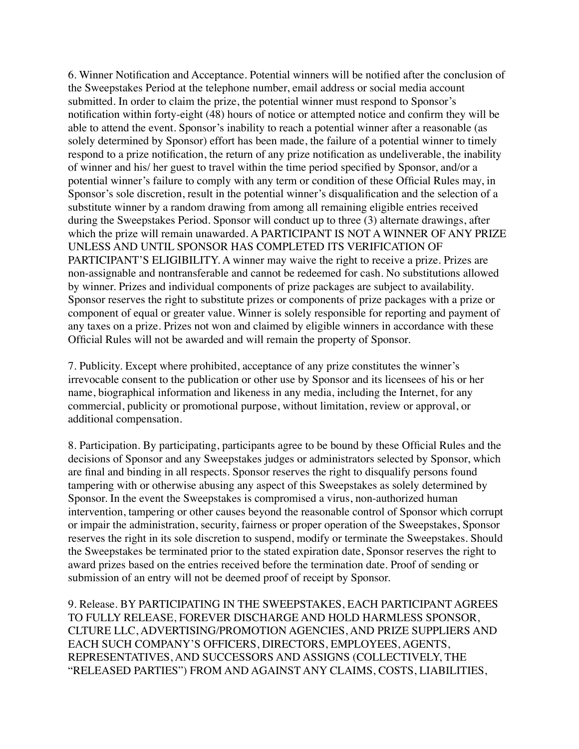6. Winner Notification and Acceptance. Potential winners will be notified after the conclusion of the Sweepstakes Period at the telephone number, email address or social media account submitted. In order to claim the prize, the potential winner must respond to Sponsor's notification within forty-eight (48) hours of notice or attempted notice and confirm they will be able to attend the event. Sponsor's inability to reach a potential winner after a reasonable (as solely determined by Sponsor) effort has been made, the failure of a potential winner to timely respond to a prize notification, the return of any prize notification as undeliverable, the inability of winner and his/ her guest to travel within the time period specified by Sponsor, and/or a potential winner's failure to comply with any term or condition of these Official Rules may, in Sponsor's sole discretion, result in the potential winner's disqualification and the selection of a substitute winner by a random drawing from among all remaining eligible entries received during the Sweepstakes Period. Sponsor will conduct up to three (3) alternate drawings, after which the prize will remain unawarded. A PARTICIPANT IS NOT A WINNER OF ANY PRIZE UNLESS AND UNTIL SPONSOR HAS COMPLETED ITS VERIFICATION OF PARTICIPANT'S ELIGIBILITY. A winner may waive the right to receive a prize. Prizes are non-assignable and nontransferable and cannot be redeemed for cash. No substitutions allowed by winner. Prizes and individual components of prize packages are subject to availability. Sponsor reserves the right to substitute prizes or components of prize packages with a prize or component of equal or greater value. Winner is solely responsible for reporting and payment of any taxes on a prize. Prizes not won and claimed by eligible winners in accordance with these Official Rules will not be awarded and will remain the property of Sponsor.

7. Publicity. Except where prohibited, acceptance of any prize constitutes the winner's irrevocable consent to the publication or other use by Sponsor and its licensees of his or her name, biographical information and likeness in any media, including the Internet, for any commercial, publicity or promotional purpose, without limitation, review or approval, or additional compensation.

8. Participation. By participating, participants agree to be bound by these Official Rules and the decisions of Sponsor and any Sweepstakes judges or administrators selected by Sponsor, which are final and binding in all respects. Sponsor reserves the right to disqualify persons found tampering with or otherwise abusing any aspect of this Sweepstakes as solely determined by Sponsor. In the event the Sweepstakes is compromised a virus, non-authorized human intervention, tampering or other causes beyond the reasonable control of Sponsor which corrupt or impair the administration, security, fairness or proper operation of the Sweepstakes, Sponsor reserves the right in its sole discretion to suspend, modify or terminate the Sweepstakes. Should the Sweepstakes be terminated prior to the stated expiration date, Sponsor reserves the right to award prizes based on the entries received before the termination date. Proof of sending or submission of an entry will not be deemed proof of receipt by Sponsor.

9. Release. BY PARTICIPATING IN THE SWEEPSTAKES, EACH PARTICIPANT AGREES TO FULLY RELEASE, FOREVER DISCHARGE AND HOLD HARMLESS SPONSOR, CLTURE LLC, ADVERTISING/PROMOTION AGENCIES, AND PRIZE SUPPLIERS AND EACH SUCH COMPANY'S OFFICERS, DIRECTORS, EMPLOYEES, AGENTS, REPRESENTATIVES, AND SUCCESSORS AND ASSIGNS (COLLECTIVELY, THE "RELEASED PARTIES") FROM AND AGAINST ANY CLAIMS, COSTS, LIABILITIES,